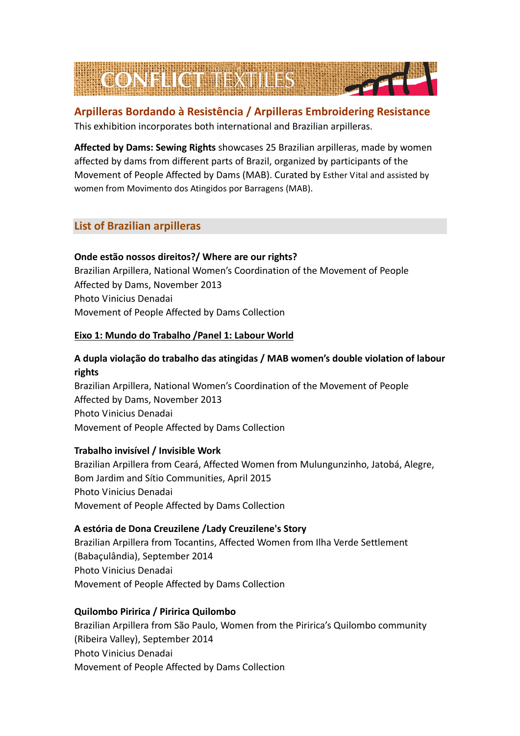

# **Arpilleras Bordando à Resistência / Arpilleras Embroidering Resistance** This exhibition incorporates both international and Brazilian arpilleras.

**Affected by Dams: Sewing Rights** showcases 25 Brazilian arpilleras, made by women affected by dams from different parts of Brazil, organized by participants of the Movement of People Affected by Dams (MAB). Curated by Esther Vital and assisted by women from Movimento dos Atingidos por Barragens (MAB).

# **List of Brazilian arpilleras**

# **Onde estão nossos direitos?/ Where are our rights?**

Brazilian Arpillera, National Women's Coordination of the Movement of People Affected by Dams, November 2013 Photo Vinicius Denadai Movement of People Affected by Dams Collection

# **Eixo 1: Mundo do Trabalho /Panel 1: Labour World**

# **A dupla violação do trabalho das atingidas / MAB women's double violation of labour rights**

Brazilian Arpillera, National Women's Coordination of the Movement of People Affected by Dams, November 2013 Photo Vinicius Denadai Movement of People Affected by Dams Collection

# **Trabalho invisível / Invisible Work**

Brazilian Arpillera from Ceará, Affected Women from Mulungunzinho, Jatobá, Alegre, Bom Jardim and Sítio Communities, April 2015 Photo Vinicius Denadai Movement of People Affected by Dams Collection

# **A estória de Dona Creuzilene /Lady Creuzilene's Story**

Brazilian Arpillera from Tocantins, Affected Women from Ilha Verde Settlement (Babaçulândia), September 2014 Photo Vinicius Denadai Movement of People Affected by Dams Collection

# **Quilombo Piririca / Piririca Quilombo**

Brazilian Arpillera from São Paulo, Women from the Piririca's Quilombo community (Ribeira Valley), September 2014 Photo Vinicius Denadai Movement of People Affected by Dams Collection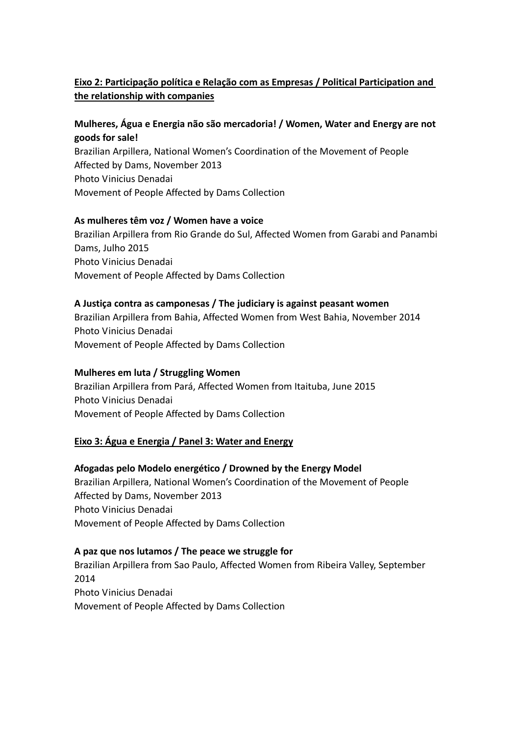# **Eixo 2: Participação política e Relação com as Empresas / Political Participation and the relationship with companies**

# **Mulheres, Água e Energia não são mercadoria! / Women, Water and Energy are not goods for sale!**

Brazilian Arpillera, National Women's Coordination of the Movement of People Affected by Dams, November 2013 Photo Vinicius Denadai Movement of People Affected by Dams Collection

# **As mulheres têm voz / Women have a voice**

Brazilian Arpillera from Rio Grande do Sul, Affected Women from Garabi and Panambi Dams, Julho 2015 Photo Vinicius Denadai Movement of People Affected by Dams Collection

# **A Justiça contra as camponesas / The judiciary is against peasant women**

Brazilian Arpillera from Bahia, Affected Women from West Bahia, November 2014 Photo Vinicius Denadai Movement of People Affected by Dams Collection

### **Mulheres em luta / Struggling Women**

Brazilian Arpillera from Pará, Affected Women from Itaituba, June 2015 Photo Vinicius Denadai Movement of People Affected by Dams Collection

# **Eixo 3: Água e Energia / Panel 3: Water and Energy**

# **Afogadas pelo Modelo energético / Drowned by the Energy Model**

Brazilian Arpillera, National Women's Coordination of the Movement of People Affected by Dams, November 2013 Photo Vinicius Denadai Movement of People Affected by Dams Collection

#### **A paz que nos lutamos / The peace we struggle for**

Brazilian Arpillera from Sao Paulo, Affected Women from Ribeira Valley, September 2014 Photo Vinicius Denadai Movement of People Affected by Dams Collection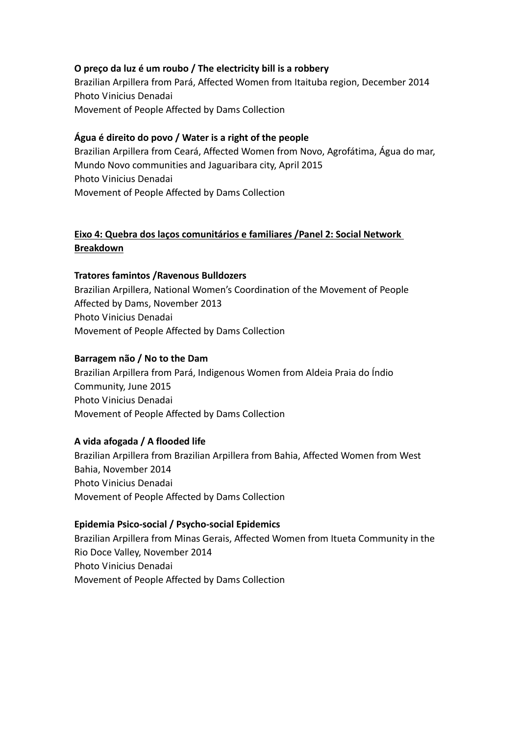# **O preço da luz é um roubo / The electricity bill is a robbery**

Brazilian Arpillera from Pará, Affected Women from Itaituba region, December 2014 Photo Vinicius Denadai Movement of People Affected by Dams Collection

### **Água é direito do povo / Water is a right of the people**

Brazilian Arpillera from Ceará, Affected Women from Novo, Agrofátima, Água do mar, Mundo Novo communities and Jaguaribara city, April 2015 Photo Vinicius Denadai Movement of People Affected by Dams Collection

# **Eixo 4: Quebra dos laços comunitários e familiares /Panel 2: Social Network Breakdown**

### **Tratores famintos /Ravenous Bulldozers**

Brazilian Arpillera, National Women's Coordination of the Movement of People Affected by Dams, November 2013 Photo Vinicius Denadai Movement of People Affected by Dams Collection

### **Barragem não / No to the Dam**

Brazilian Arpillera from Pará, Indigenous Women from Aldeia Praia do Índio Community, June 2015 Photo Vinicius Denadai Movement of People Affected by Dams Collection

#### **A vida afogada / A flooded life**

Brazilian Arpillera from Brazilian Arpillera from Bahia, Affected Women from West Bahia, November 2014 Photo Vinicius Denadai Movement of People Affected by Dams Collection

# **Epidemia Psico‐social / Psycho‐social Epidemics**

Brazilian Arpillera from Minas Gerais, Affected Women from Itueta Community in the Rio Doce Valley, November 2014 Photo Vinicius Denadai Movement of People Affected by Dams Collection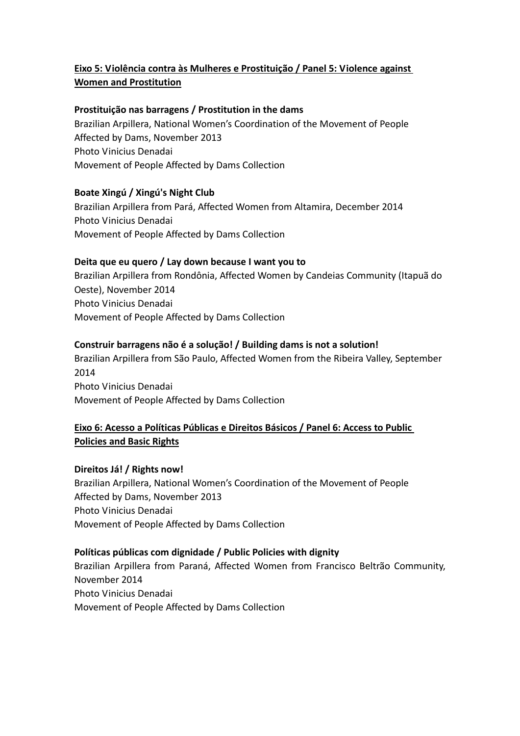# **Eixo 5: Violência contra às Mulheres e Prostituição / Panel 5: Violence against Women and Prostitution**

# **Prostituição nas barragens / Prostitution in the dams**

Brazilian Arpillera, National Women's Coordination of the Movement of People Affected by Dams, November 2013 Photo Vinicius Denadai Movement of People Affected by Dams Collection

# **Boate Xingú / Xingú's Night Club**

Brazilian Arpillera from Pará, Affected Women from Altamira, December 2014 Photo Vinicius Denadai Movement of People Affected by Dams Collection

### **Deita que eu quero / Lay down because I want you to**

Brazilian Arpillera from Rondônia, Affected Women by Candeias Community (Itapuã do Oeste), November 2014 Photo Vinicius Denadai Movement of People Affected by Dams Collection

### **Construir barragens não é a solução! / Building dams is not a solution!**

Brazilian Arpillera from São Paulo, Affected Women from the Ribeira Valley, September 2014 Photo Vinicius Denadai Movement of People Affected by Dams Collection

# **Eixo 6: Acesso a Políticas Públicas e Direitos Básicos / Panel 6: Access to Public Policies and Basic Rights**

**Direitos Já! / Rights now!**

Brazilian Arpillera, National Women's Coordination of the Movement of People Affected by Dams, November 2013 Photo Vinicius Denadai Movement of People Affected by Dams Collection

#### **Políticas públicas com dignidade / Public Policies with dignity**

Brazilian Arpillera from Paraná, Affected Women from Francisco Beltrão Community, November 2014 Photo Vinicius Denadai Movement of People Affected by Dams Collection